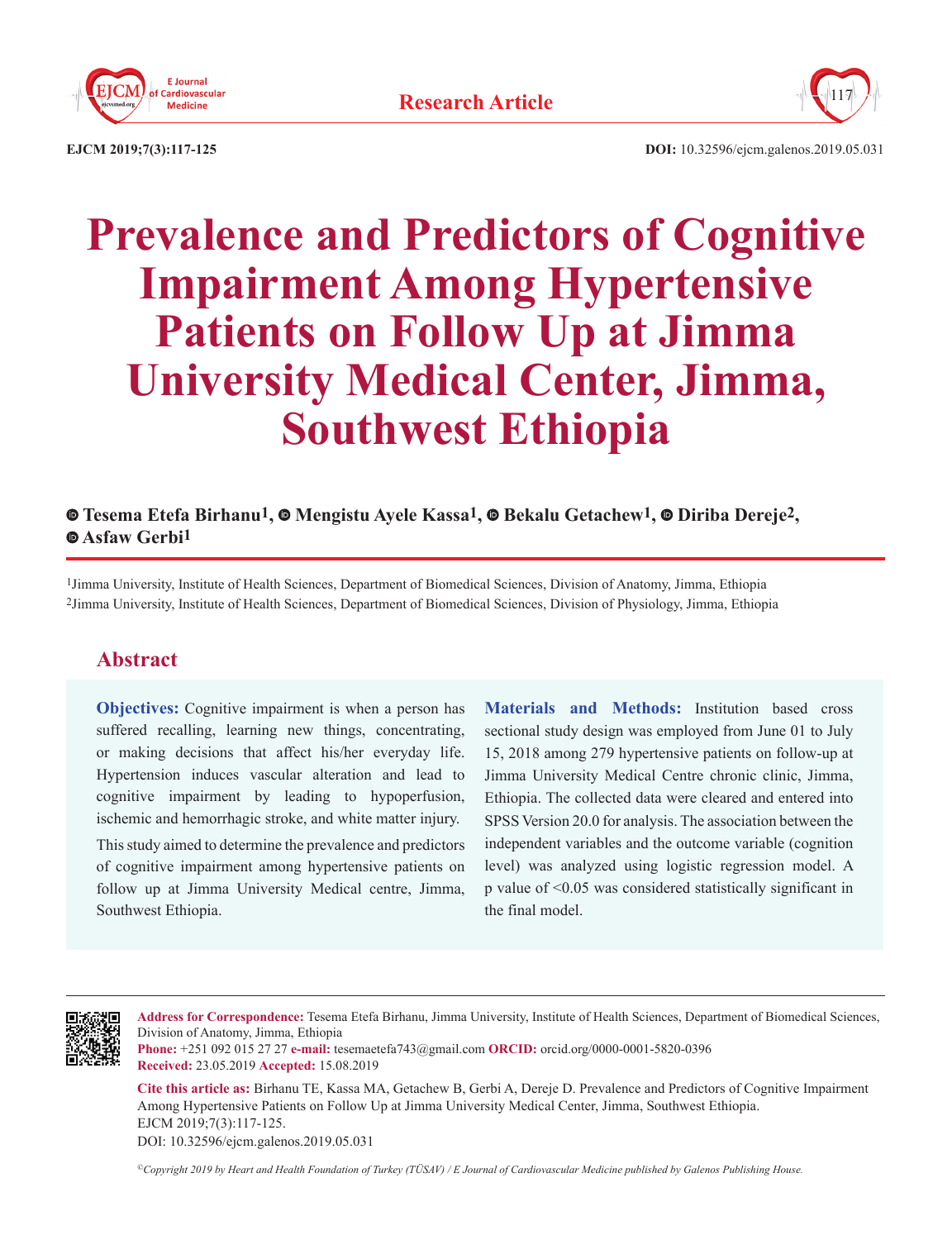



**EJCM 2019;7(3):117-125 DOI:** 10.32596/ejcm.galenos.2019.05.031

# **Prevalence and Predictors of Cognitive Impairment Among Hypertensive Patients on Follow Up at Jimma University Medical Center, Jimma, Southwest Ethiopia**

# **Tesema Etefa Birhanu1, [M](https://orcid.org/0000-0001-6180-4350)engistu Ayele Kassa1,Bekalu Getachew1,Diriba Dereje2,  [A](https://orcid.org/0000-0002-5633-3256)sfaw Gerbi1**

1Jimma University, Institute of Health Sciences, Department of Biomedical Sciences, Division of Anatomy, Jimma, Ethiopia 2Jimma University, Institute of Health Sciences, Department of Biomedical Sciences, Division of Physiology, Jimma, Ethiopia

# **Abstract**

**Objectives:** Cognitive impairment is when a person has suffered recalling, learning new things, concentrating, or making decisions that affect his/her everyday life. Hypertension induces vascular alteration and lead to cognitive impairment by leading to hypoperfusion, ischemic and hemorrhagic stroke, and white matter injury.

This study aimed to determine the prevalence and predictors of cognitive impairment among hypertensive patients on follow up at Jimma University Medical centre, Jimma, Southwest Ethiopia.

**Materials and Methods:** Institution based cross sectional study design was employed from June 01 to July 15, 2018 among 279 hypertensive patients on follow-up at Jimma University Medical Centre chronic clinic, Jimma, Ethiopia. The collected data were cleared and entered into SPSS Version 20.0 for analysis. The association between the independent variables and the outcome variable (cognition level) was analyzed using logistic regression model. A p value of <0.05 was considered statistically significant in the final model.



**Address for Correspondence:** Tesema Etefa Birhanu, Jimma University, Institute of Health Sciences, Department of Biomedical Sciences, Division of Anatomy, Jimma, Ethiopia

**Phone:** +251 092 015 27 27 **e-mail:** tesemaetefa743@gmail.com **ORCID:** orcid.org/0000-0001-5820-0396 **Received:** 23.05.2019 **Accepted:** 15.08.2019

**Cite this article as:** Birhanu TE, Kassa MA, Getachew B, Gerbi A, Dereje D. Prevalence and Predictors of Cognitive Impairment Among Hypertensive Patients on Follow Up at Jimma University Medical Center, Jimma, Southwest Ethiopia. EJCM 2019;7(3):117-125.

DOI: 10.32596/ejcm.galenos.2019.05.031

*©Copyright 2019 by Heart and Health Foundation of Turkey (TÜSAV) / E Journal of Cardiovascular Medicine published by Galenos Publishing House.*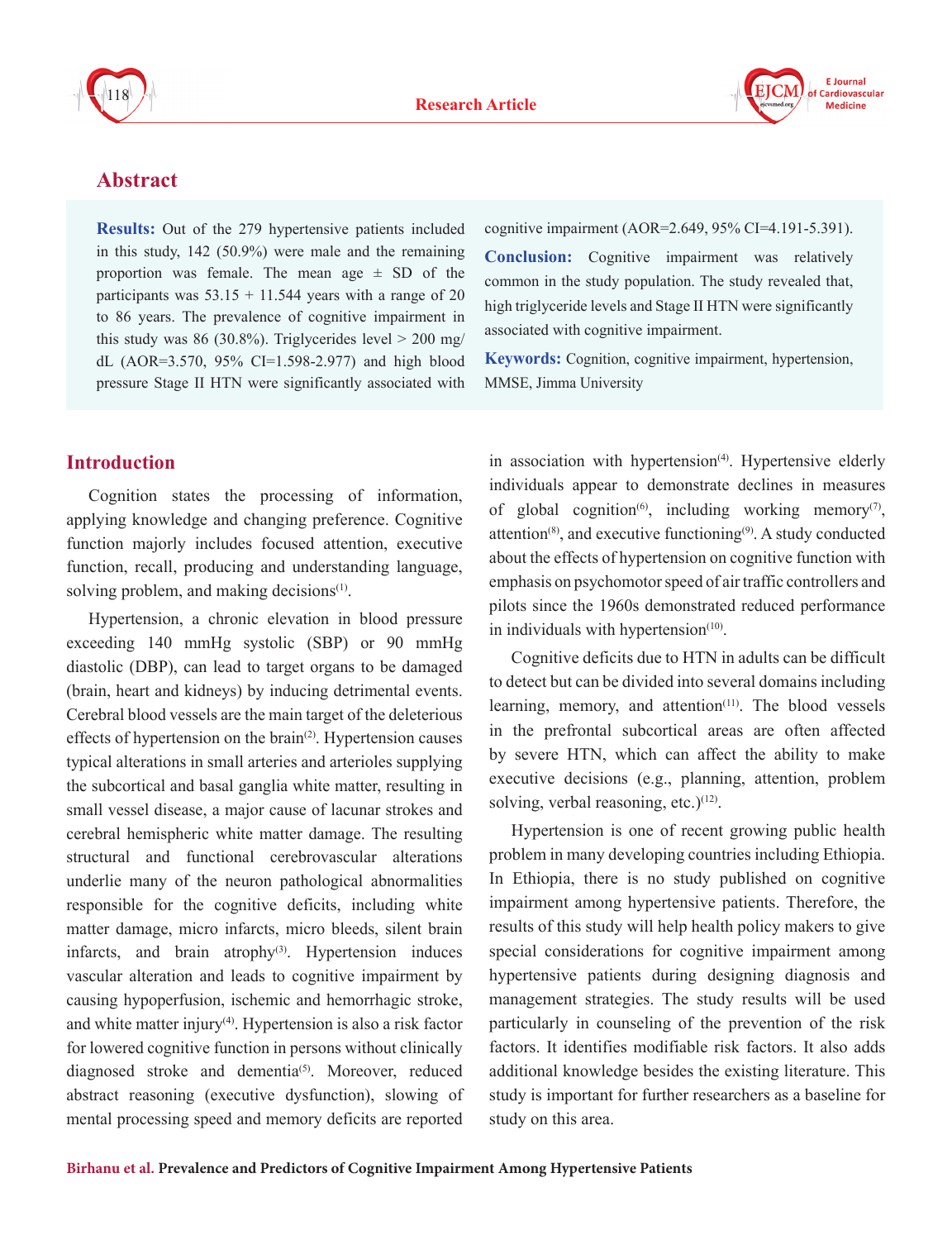

# **Abstract**

**Results:** Out of the 279 hypertensive patients included in this study, 142 (50.9%) were male and the remaining proportion was female. The mean age  $\pm$  SD of the participants was  $53.15 + 11.544$  years with a range of 20 to 86 years. The prevalence of cognitive impairment in this study was 86 (30.8%). Triglycerides level  $> 200$  mg/ dL (AOR=3.570, 95% CI=1.598-2.977) and high blood pressure Stage II HTN were significantly associated with

## **Introduction**

Cognition states the processing of information, applying knowledge and changing preference. Cognitive function majorly includes focused attention, executive function, recall, producing and understanding language, solving problem, and making decisions $(1)$ .

Hypertension, a chronic elevation in blood pressure exceeding 140 mmHg systolic (SBP) or 90 mmHg diastolic (DBP), can lead to target organs to be damaged (brain, heart and kidneys) by inducing detrimental events. Cerebral blood vessels are the main target of the deleterious effects of hypertension on the brain<sup>(2)</sup>. Hypertension causes typical alterations in small arteries and arterioles supplying the subcortical and basal ganglia white matter, resulting in small vessel disease, a major cause of lacunar strokes and cerebral hemispheric white matter damage. The resulting structural and functional cerebrovascular alterations underlie many of the neuron pathological abnormalities responsible for the cognitive deficits, including white matter damage, micro infarcts, micro bleeds, silent brain infarcts, and brain atrophy $(3)$ . Hypertension induces vascular alteration and leads to cognitive impairment by causing hypoperfusion, ischemic and hemorrhagic stroke, and white matter injury<sup>(4)</sup>. Hypertension is also a risk factor for lowered cognitive function in persons without clinically diagnosed stroke and dementia<sup>(5)</sup>. Moreover, reduced abstract reasoning (executive dysfunction), slowing of mental processing speed and memory deficits are reported

cognitive impairment (AOR=2.649, 95% CI=4.191-5.391).

**Conclusion:** Cognitive impairment was relatively common in the study population. The study revealed that, high triglyceride levels and Stage II HTN were significantly associated with cognitive impairment.

**Keywords:** Cognition, cognitive impairment, hypertension, MMSE, Jimma University

in association with hypertension<sup>(4)</sup>. Hypertensive elderly individuals appear to demonstrate declines in measures of global cognition<sup>(6)</sup>, including working memory<sup>(7)</sup>, attention(8), and executive functioning(9). A study conducted about the effects of hypertension on cognitive function with emphasis on psychomotor speed of air traffic controllers and pilots since the 1960s demonstrated reduced performance in individuals with hypertension $(10)$ .

Cognitive deficits due to HTN in adults can be difficult to detect but can be divided into several domains including learning, memory, and attention $(11)$ . The blood vessels in the prefrontal subcortical areas are often affected by severe HTN, which can affect the ability to make executive decisions (e.g., planning, attention, problem solving, verbal reasoning, etc.) $(12)$ .

Hypertension is one of recent growing public health problem in many developing countries including Ethiopia. In Ethiopia, there is no study published on cognitive impairment among hypertensive patients. Therefore, the results of this study will help health policy makers to give special considerations for cognitive impairment among hypertensive patients during designing diagnosis and management strategies. The study results will be used particularly in counseling of the prevention of the risk factors. It identifies modifiable risk factors. It also adds additional knowledge besides the existing literature. This study is important for further researchers as a baseline for study on this area.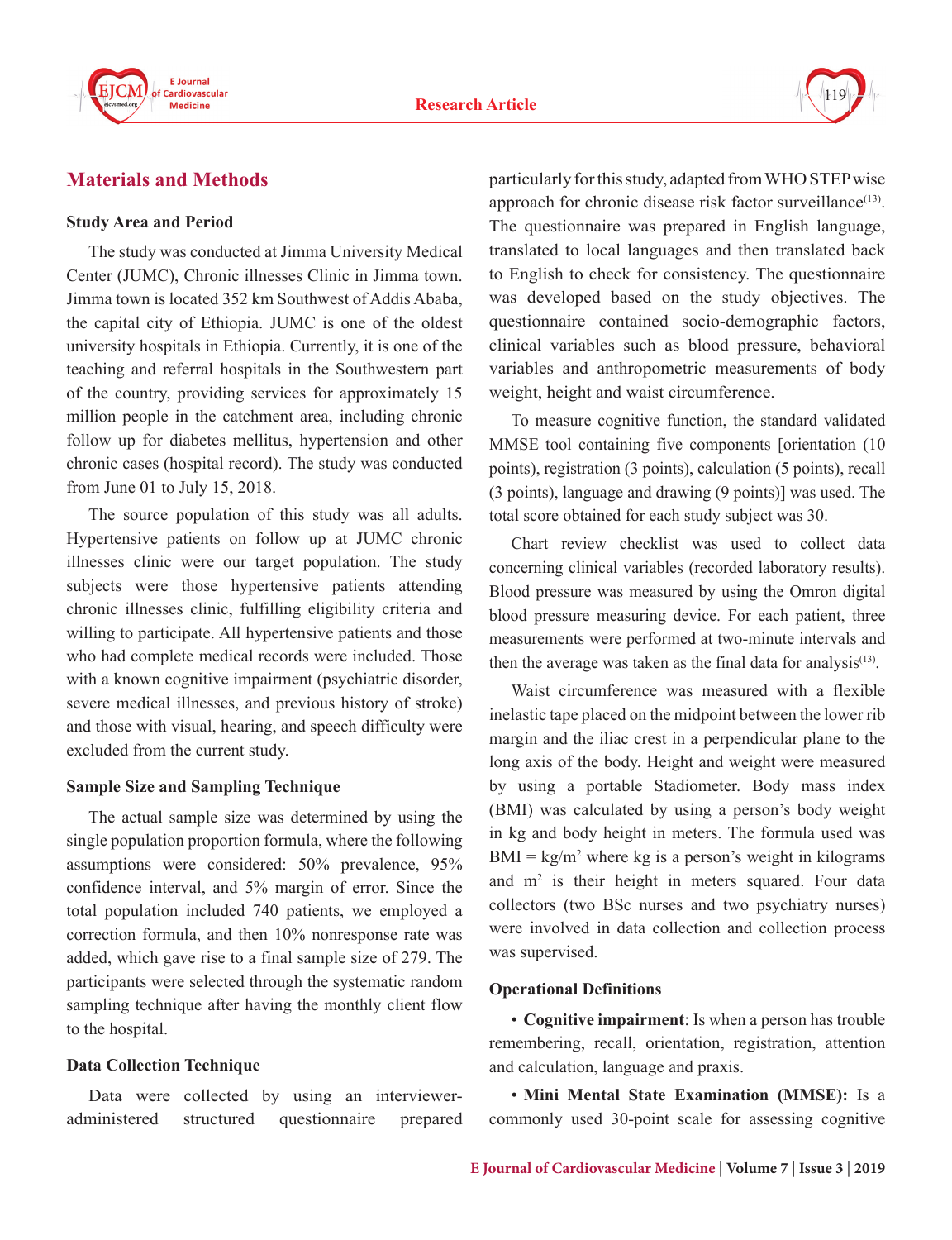



# **Materials and Methods**

### **Study Area and Period**

The study was conducted at Jimma University Medical Center (JUMC), Chronic illnesses Clinic in Jimma town. Jimma town is located 352 km Southwest of Addis Ababa, the capital city of Ethiopia. JUMC is one of the oldest university hospitals in Ethiopia. Currently, it is one of the teaching and referral hospitals in the Southwestern part of the country, providing services for approximately 15 million people in the catchment area, including chronic follow up for diabetes mellitus, hypertension and other chronic cases (hospital record). The study was conducted from June 01 to July 15, 2018.

The source population of this study was all adults. Hypertensive patients on follow up at JUMC chronic illnesses clinic were our target population. The study subjects were those hypertensive patients attending chronic illnesses clinic, fulfilling eligibility criteria and willing to participate. All hypertensive patients and those who had complete medical records were included. Those with a known cognitive impairment (psychiatric disorder, severe medical illnesses, and previous history of stroke) and those with visual, hearing, and speech difficulty were excluded from the current study.

#### **Sample Size and Sampling Technique**

The actual sample size was determined by using the single population proportion formula, where the following assumptions were considered: 50% prevalence, 95% confidence interval, and 5% margin of error. Since the total population included 740 patients, we employed a correction formula, and then 10% nonresponse rate was added, which gave rise to a final sample size of 279. The participants were selected through the systematic random sampling technique after having the monthly client flow to the hospital.

## **Data Collection Technique**

Data were collected by using an intervieweradministered structured questionnaire prepared particularly for this study, adapted from WHO STEP wise approach for chronic disease risk factor surveillance<sup>(13)</sup>. The questionnaire was prepared in English language, translated to local languages and then translated back to English to check for consistency. The questionnaire was developed based on the study objectives. The questionnaire contained socio-demographic factors, clinical variables such as blood pressure, behavioral variables and anthropometric measurements of body weight, height and waist circumference.

To measure cognitive function, the standard validated MMSE tool containing five components [orientation (10 points), registration (3 points), calculation (5 points), recall (3 points), language and drawing (9 points)] was used. The total score obtained for each study subject was 30.

Chart review checklist was used to collect data concerning clinical variables (recorded laboratory results). Blood pressure was measured by using the Omron digital blood pressure measuring device. For each patient, three measurements were performed at two-minute intervals and then the average was taken as the final data for analysis<sup> $(13)$ </sup>.

Waist circumference was measured with a flexible inelastic tape placed on the midpoint between the lower rib margin and the iliac crest in a perpendicular plane to the long axis of the body. Height and weight were measured by using a portable Stadiometer. Body mass index (BMI) was calculated by using a person's body weight in kg and body height in meters. The formula used was  $BMI = kg/m<sup>2</sup>$  where kg is a person's weight in kilograms and  $m<sup>2</sup>$  is their height in meters squared. Four data collectors (two BSc nurses and two psychiatry nurses) were involved in data collection and collection process was supervised.

## **Operational Definitions**

• **Cognitive impairment**: Is when a person has trouble remembering, recall, orientation, registration, attention and calculation, language and praxis.

• **Mini Mental State Examination (MMSE):** Is a commonly used 30-point scale for assessing cognitive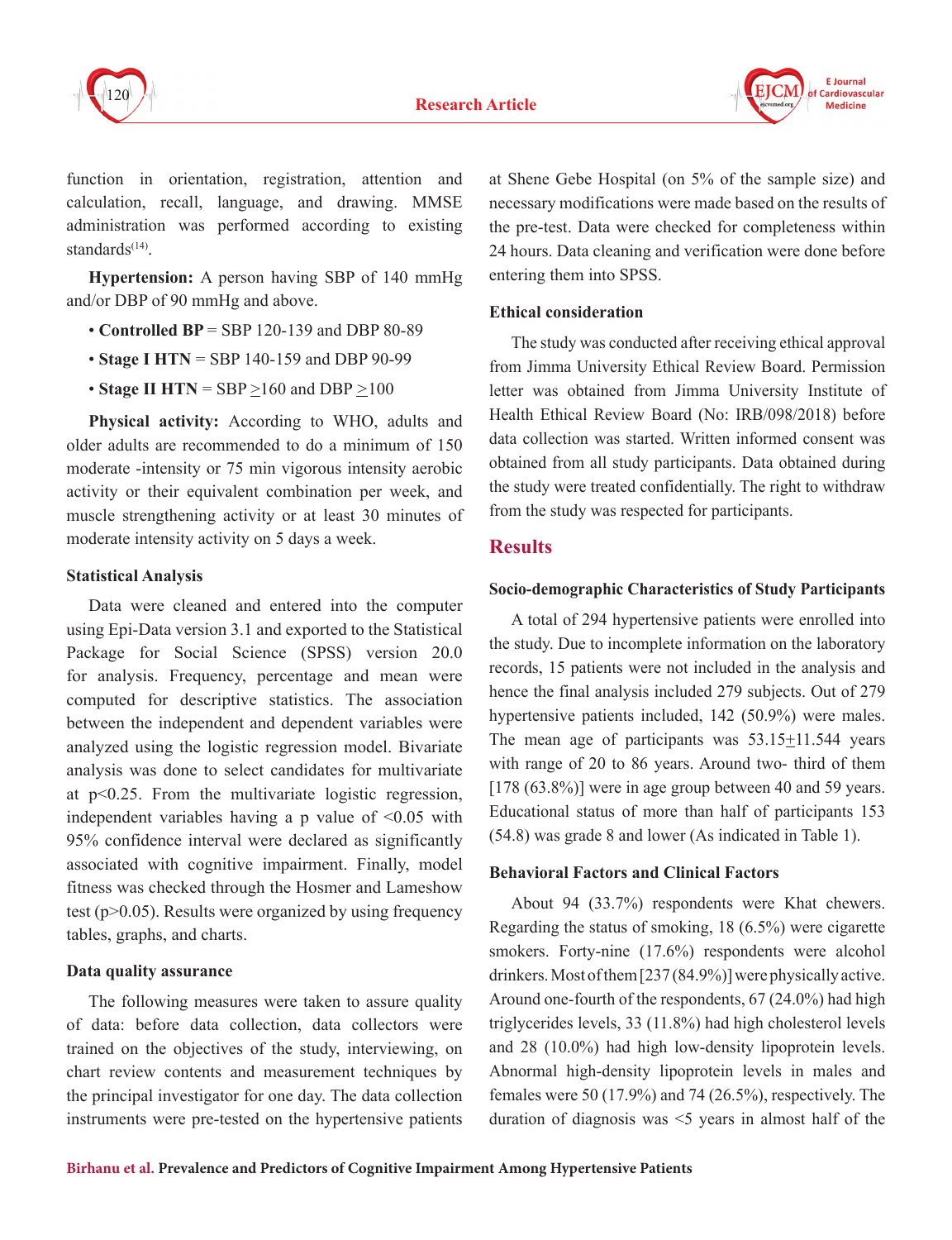



function in orientation, registration, attention and calculation, recall, language, and drawing. MMSE administration was performed according to existing standards $(14)$ .

**Hypertension:** A person having SBP of 140 mmHg and/or DBP of 90 mmHg and above.

- **Controlled BP** = SBP 120-139 and DBP 80-89
- **Stage I HTN** = SBP 140-159 and DBP 90-99
- **Stage II HTN** = SBP >160 and DBP *>*100

**Physical activity:** According to WHO, adults and older adults are recommended to do a minimum of 150 moderate -intensity or 75 min vigorous intensity aerobic activity or their equivalent combination per week, and muscle strengthening activity or at least 30 minutes of moderate intensity activity on 5 days a week.

## **Statistical Analysis**

Data were cleaned and entered into the computer using Epi-Data version 3.1 and exported to the Statistical Package for Social Science (SPSS) version 20.0 for analysis. Frequency, percentage and mean were computed for descriptive statistics. The association between the independent and dependent variables were analyzed using the logistic regression model. Bivariate analysis was done to select candidates for multivariate at p<0.25. From the multivariate logistic regression, independent variables having a p value of <0.05 with 95% confidence interval were declared as significantly associated with cognitive impairment. Finally, model fitness was checked through the Hosmer and Lameshow test (p>0.05). Results were organized by using frequency tables, graphs, and charts.

## **Data quality assurance**

The following measures were taken to assure quality of data: before data collection, data collectors were trained on the objectives of the study, interviewing, on chart review contents and measurement techniques by the principal investigator for one day. The data collection instruments were pre-tested on the hypertensive patients

at Shene Gebe Hospital (on 5% of the sample size) and necessary modifications were made based on the results of the pre-test. Data were checked for completeness within 24 hours. Data cleaning and verification were done before entering them into SPSS.

## **Ethical consideration**

The study was conducted after receiving ethical approval from Jimma University Ethical Review Board. Permission letter was obtained from Jimma University Institute of Health Ethical Review Board (No: IRB/098/2018) before data collection was started. Written informed consent was obtained from all study participants. Data obtained during the study were treated confidentially. The right to withdraw from the study was respected for participants.

# **Results**

## **Socio-demographic Characteristics of Study Participants**

A total of 294 hypertensive patients were enrolled into the study. Due to incomplete information on the laboratory records, 15 patients were not included in the analysis and hence the final analysis included 279 subjects. Out of 279 hypertensive patients included, 142 (50.9%) were males. The mean age of participants was 53.15+11.544 years with range of 20 to 86 years. Around two- third of them [178 (63.8%)] were in age group between 40 and 59 years. Educational status of more than half of participants 153 (54.8) was grade 8 and lower (As indicated in Table 1).

## **Behavioral Factors and Clinical Factors**

About 94 (33.7%) respondents were Khat chewers. Regarding the status of smoking, 18 (6.5%) were cigarette smokers. Forty-nine (17.6%) respondents were alcohol drinkers. Most of them [237 (84.9%)] were physically active. Around one-fourth of the respondents, 67 (24.0%) had high triglycerides levels, 33 (11.8%) had high cholesterol levels and 28 (10.0%) had high low-density lipoprotein levels. Abnormal high-density lipoprotein levels in males and females were 50 (17.9%) and 74 (26.5%), respectively. The duration of diagnosis was  $\leq$  years in almost half of the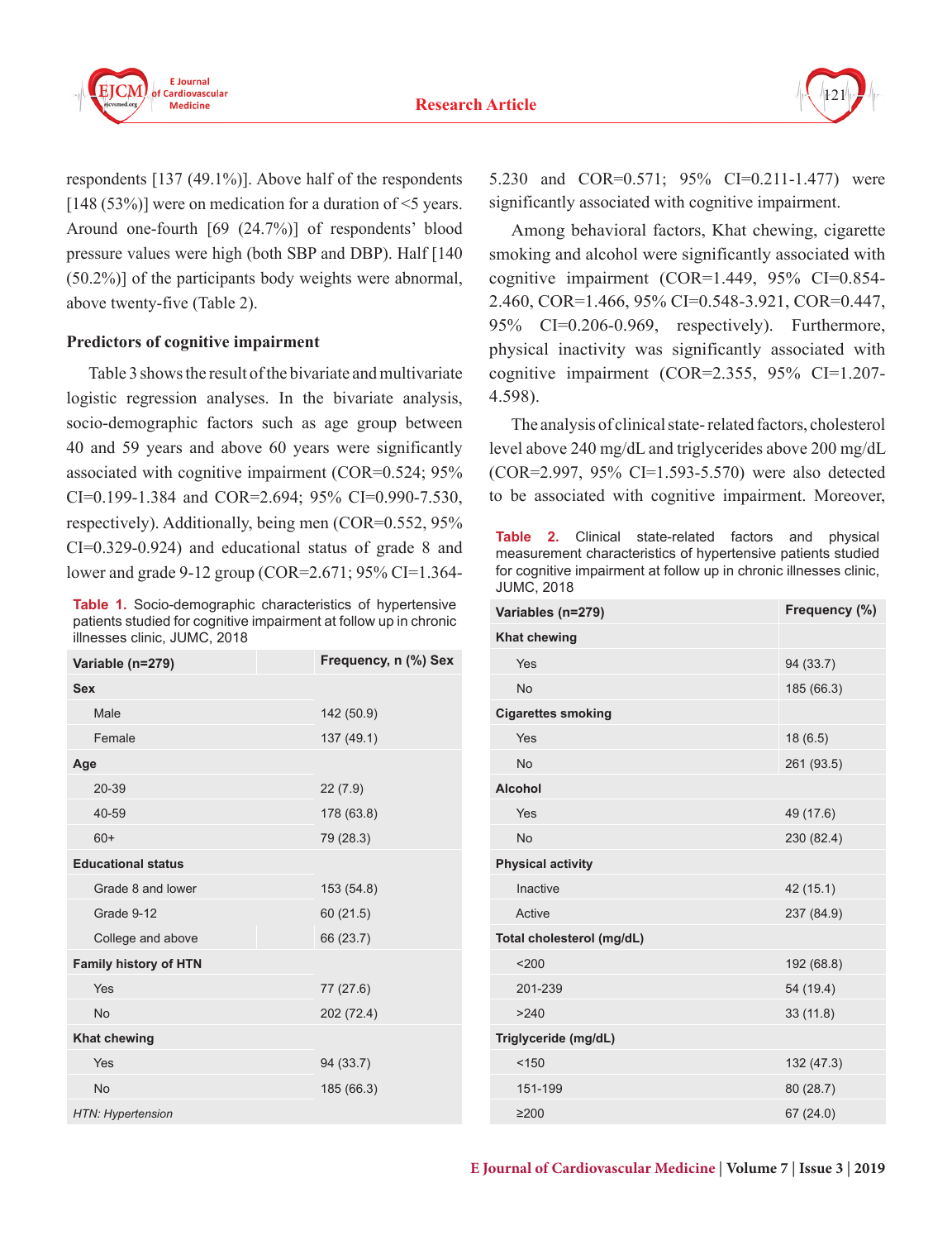



respondents [137 (49.1%)]. Above half of the respondents [148 (53%)] were on medication for a duration of  $\leq$ 5 years. Around one-fourth [69 (24.7%)] of respondents' blood pressure values were high (both SBP and DBP). Half [140 (50.2%)] of the participants body weights were abnormal, above twenty-five (Table 2).

## **Predictors of cognitive impairment**

Table 3 shows the result of the bivariate and multivariate logistic regression analyses. In the bivariate analysis, socio-demographic factors such as age group between 40 and 59 years and above 60 years were significantly associated with cognitive impairment (COR=0.524; 95% CI=0.199-1.384 and COR=2.694; 95% CI=0.990-7.530, respectively). Additionally, being men (COR=0.552, 95% CI=0.329-0.924) and educational status of grade 8 and lower and grade 9-12 group (COR=2.671; 95% CI=1.364-

**Table 1.** Socio-demographic characteristics of hypertensive patients studied for cognitive impairment at follow up in chronic illnesses clinic, JUMC, 2018

| Variable (n=279)             | Frequency, n (%) Sex |
|------------------------------|----------------------|
| <b>Sex</b>                   |                      |
| Male                         | 142 (50.9)           |
| Female                       | 137 (49.1)           |
| Age                          |                      |
| 20-39                        | 22(7.9)              |
| 40-59                        | 178 (63.8)           |
| $60+$                        | 79 (28.3)            |
| <b>Educational status</b>    |                      |
| Grade 8 and lower            | 153 (54.8)           |
| Grade 9-12                   | 60(21.5)             |
| College and above            | 66 (23.7)            |
| <b>Family history of HTN</b> |                      |
| Yes                          | 77 (27.6)            |
| <b>No</b>                    | 202 (72.4)           |
| <b>Khat chewing</b>          |                      |
| Yes                          | 94 (33.7)            |
| <b>No</b>                    | 185 (66.3)           |
| HTN: Hypertension            |                      |

5.230 and COR=0.571; 95% CI=0.211-1.477) were significantly associated with cognitive impairment.

Among behavioral factors, Khat chewing, cigarette smoking and alcohol were significantly associated with cognitive impairment (COR=1.449, 95% CI=0.854- 2.460, COR=1.466, 95% CI=0.548-3.921, COR=0.447, 95% CI=0.206-0.969, respectively). Furthermore, physical inactivity was significantly associated with cognitive impairment (COR=2.355, 95% CI=1.207- 4.598).

The analysis of clinical state- related factors, cholesterol level above 240 mg/dL and triglycerides above 200 mg/dL (COR=2.997, 95% CI=1.593-5.570) were also detected to be associated with cognitive impairment. Moreover,

**Table 2.** Clinical state-related factors and physical measurement characteristics of hypertensive patients studied for cognitive impairment at follow up in chronic illnesses clinic, JUMC, 2018

| Variables (n=279)         | Frequency (%) |
|---------------------------|---------------|
| <b>Khat chewing</b>       |               |
| Yes                       | 94 (33.7)     |
| <b>No</b>                 | 185 (66.3)    |
| <b>Cigarettes smoking</b> |               |
| Yes                       | 18(6.5)       |
| <b>No</b>                 | 261 (93.5)    |
| <b>Alcohol</b>            |               |
| Yes                       | 49 (17.6)     |
| <b>No</b>                 | 230 (82.4)    |
| <b>Physical activity</b>  |               |
| Inactive                  | 42 (15.1)     |
| Active                    | 237 (84.9)    |
| Total cholesterol (mg/dL) |               |
| < 200                     | 192 (68.8)    |
| 201-239                   | 54 (19.4)     |
| >240                      | 33 (11.8)     |
| Triglyceride (mg/dL)      |               |
| < 150                     | 132 (47.3)    |
| 151-199                   | 80 (28.7)     |
| $\geq$ 200                | 67(24.0)      |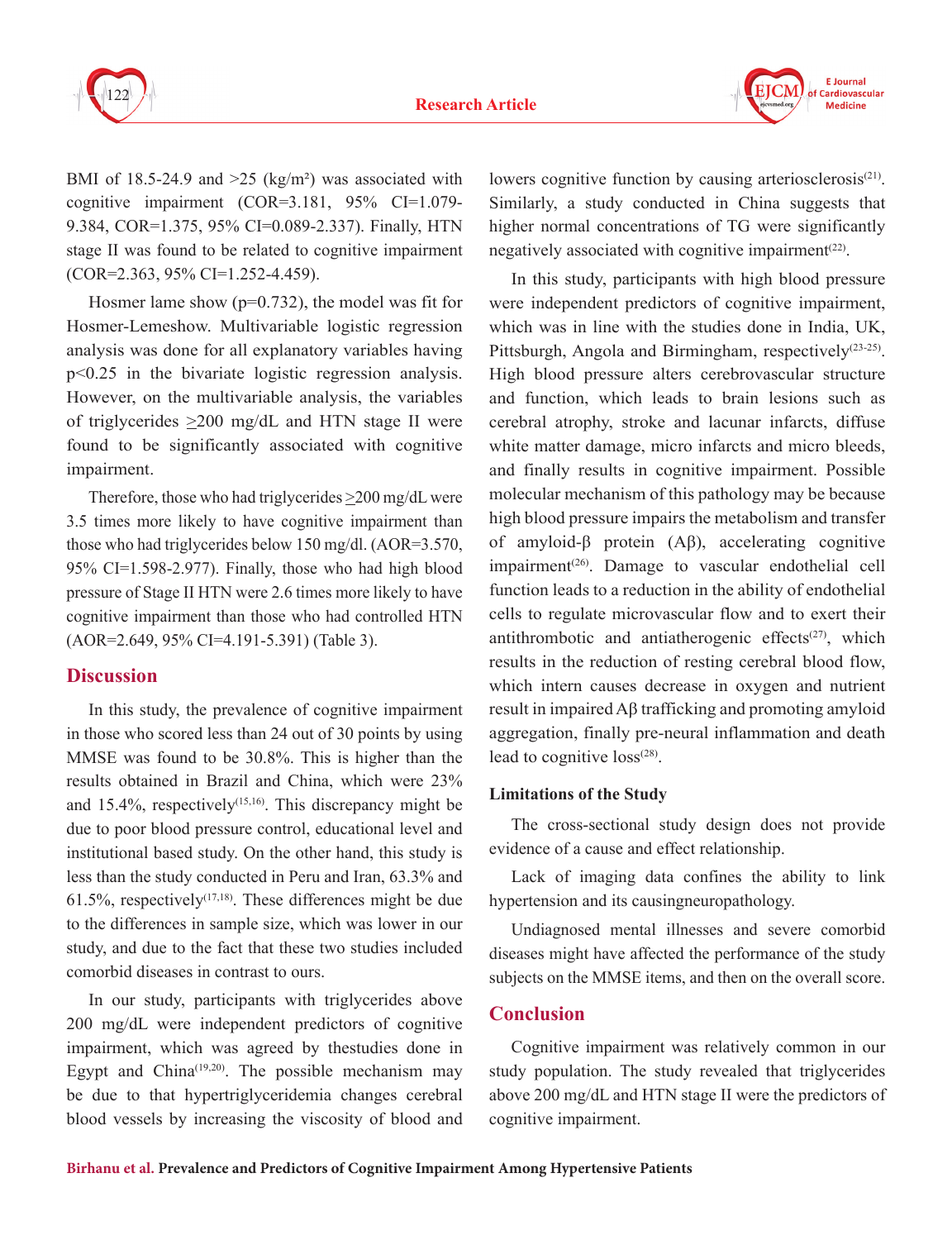



BMI of 18.5-24.9 and  $>25$  (kg/m<sup>2</sup>) was associated with cognitive impairment (COR=3.181, 95% CI=1.079- 9.384, COR=1.375, 95% CI=0.089-2.337). Finally, HTN stage II was found to be related to cognitive impairment (COR=2.363, 95% CI=1.252-4.459).

Hosmer lame show  $(p=0.732)$ , the model was fit for Hosmer-Lemeshow. Multivariable logistic regression analysis was done for all explanatory variables having p<0.25 in the bivariate logistic regression analysis. However, on the multivariable analysis, the variables of triglycerides  $\geq$ 200 mg/dL and HTN stage II were found to be significantly associated with cognitive impairment.

Therefore, those who had triglycerides >200 mg/dL were 3.5 times more likely to have cognitive impairment than those who had triglycerides below 150 mg/dl. (AOR=3.570, 95% CI=1.598-2.977). Finally, those who had high blood pressure of Stage II HTN were 2.6 times more likely to have cognitive impairment than those who had controlled HTN (AOR=2.649, 95% CI=4.191-5.391) (Table 3).

## **Discussion**

In this study, the prevalence of cognitive impairment in those who scored less than 24 out of 30 points by using MMSE was found to be 30.8%. This is higher than the results obtained in Brazil and China, which were 23% and  $15.4\%$ , respectively<sup>(15,16)</sup>. This discrepancy might be due to poor blood pressure control, educational level and institutional based study. On the other hand, this study is less than the study conducted in Peru and Iran, 63.3% and  $61.5\%$ , respectively<sup> $(17,18)$ </sup>. These differences might be due to the differences in sample size, which was lower in our study, and due to the fact that these two studies included comorbid diseases in contrast to ours.

In our study, participants with triglycerides above 200 mg/dL were independent predictors of cognitive impairment, which was agreed by thestudies done in Egypt and China $(19,20)$ . The possible mechanism may be due to that hypertriglyceridemia changes cerebral blood vessels by increasing the viscosity of blood and

lowers cognitive function by causing arteriosclerosis<sup>(21)</sup>. Similarly, a study conducted in China suggests that higher normal concentrations of TG were significantly negatively associated with cognitive impairment<sup> $(22)$ </sup>.

In this study, participants with high blood pressure were independent predictors of cognitive impairment, which was in line with the studies done in India, UK, Pittsburgh, Angola and Birmingham, respectively<sup>(23-25)</sup>. High blood pressure alters cerebrovascular structure and function, which leads to brain lesions such as cerebral atrophy, stroke and lacunar infarcts, diffuse white matter damage, micro infarcts and micro bleeds, and finally results in cognitive impairment. Possible molecular mechanism of this pathology may be because high blood pressure impairs the metabolism and transfer of amyloid-β protein (Aβ), accelerating cognitive impairment<sup>(26)</sup>. Damage to vascular endothelial cell function leads to a reduction in the ability of endothelial cells to regulate microvascular flow and to exert their antithrombotic and antiatherogenic effects $(27)$ , which results in the reduction of resting cerebral blood flow, which intern causes decrease in oxygen and nutrient result in impaired Aβ trafficking and promoting amyloid aggregation, finally pre-neural inflammation and death lead to cognitive  $loss^{(28)}$ .

## **Limitations of the Study**

The cross-sectional study design does not provide evidence of a cause and effect relationship.

Lack of imaging data confines the ability to link hypertension and its causingneuropathology.

Undiagnosed mental illnesses and severe comorbid diseases might have affected the performance of the study subjects on the MMSE items, and then on the overall score.

## **Conclusion**

Cognitive impairment was relatively common in our study population. The study revealed that triglycerides above 200 mg/dL and HTN stage II were the predictors of cognitive impairment.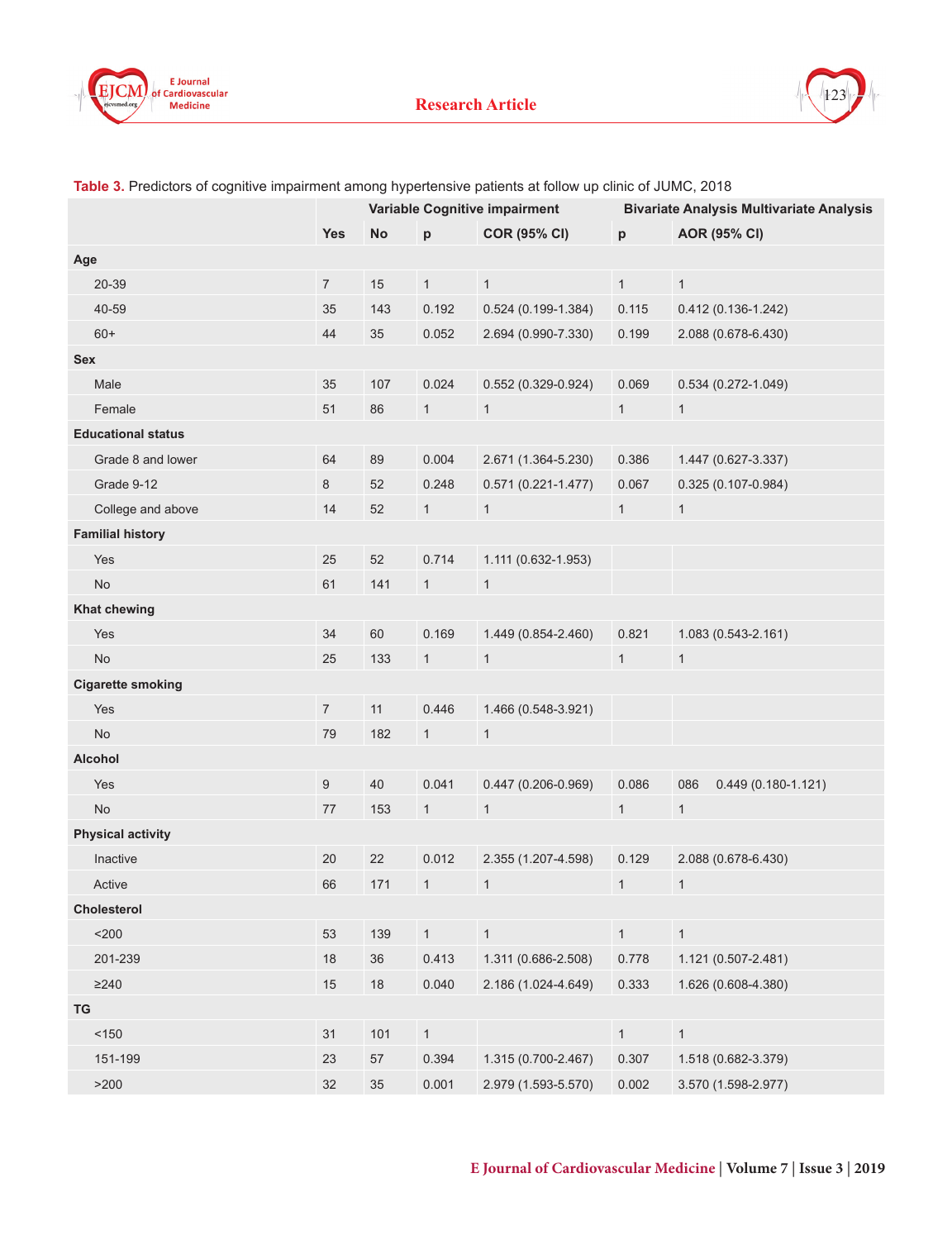



|                           | Variable Cognitive impairment |           | <b>Bivariate Analysis Multivariate Analysis</b> |                        |              |                               |
|---------------------------|-------------------------------|-----------|-------------------------------------------------|------------------------|--------------|-------------------------------|
|                           | <b>Yes</b>                    | <b>No</b> | p                                               | <b>COR (95% CI)</b>    | p            | <b>AOR (95% CI)</b>           |
| Age                       |                               |           |                                                 |                        |              |                               |
| 20-39                     | $\overline{7}$                | 15        | $\mathbf{1}$                                    | $\mathbf{1}$           | 1            | $\mathbf{1}$                  |
| 40-59                     | 35                            | 143       | 0.192                                           | $0.524(0.199-1.384)$   | 0.115        | $0.412(0.136 - 1.242)$        |
| $60+$                     | 44                            | 35        | 0.052                                           | 2.694 (0.990-7.330)    | 0.199        | 2.088 (0.678-6.430)           |
| <b>Sex</b>                |                               |           |                                                 |                        |              |                               |
| Male                      | 35                            | 107       | 0.024                                           | 0.552 (0.329-0.924)    | 0.069        | $0.534(0.272 - 1.049)$        |
| Female                    | 51                            | 86        | 1                                               | $\mathbf{1}$           | $\mathbf{1}$ | $\mathbf{1}$                  |
| <b>Educational status</b> |                               |           |                                                 |                        |              |                               |
| Grade 8 and lower         | 64                            | 89        | 0.004                                           | 2.671 (1.364-5.230)    | 0.386        | 1.447 (0.627-3.337)           |
| Grade 9-12                | 8                             | 52        | 0.248                                           | $0.571(0.221 - 1.477)$ | 0.067        | $0.325(0.107 - 0.984)$        |
| College and above         | 14                            | 52        | $\mathbf{1}$                                    | $\mathbf{1}$           | $\mathbf{1}$ | $\mathbf{1}$                  |
| <b>Familial history</b>   |                               |           |                                                 |                        |              |                               |
| Yes                       | 25                            | 52        | 0.714                                           | 1.111 (0.632-1.953)    |              |                               |
| <b>No</b>                 | 61                            | 141       | $\mathbf{1}$                                    | $\mathbf{1}$           |              |                               |
| <b>Khat chewing</b>       |                               |           |                                                 |                        |              |                               |
| Yes                       | 34                            | 60        | 0.169                                           | 1.449 (0.854-2.460)    | 0.821        | 1.083 (0.543-2.161)           |
| <b>No</b>                 | 25                            | 133       | $\mathbf{1}$                                    | $\mathbf{1}$           | $\mathbf{1}$ | $\mathbf{1}$                  |
| <b>Cigarette smoking</b>  |                               |           |                                                 |                        |              |                               |
| Yes                       | $\overline{7}$                | 11        | 0.446                                           | 1.466 (0.548-3.921)    |              |                               |
| <b>No</b>                 | 79                            | 182       | $\mathbf{1}$                                    | $\mathbf{1}$           |              |                               |
| <b>Alcohol</b>            |                               |           |                                                 |                        |              |                               |
| Yes                       | $\boldsymbol{9}$              | 40        | 0.041                                           | $0.447(0.206 - 0.969)$ | 0.086        | 086<br>$0.449(0.180 - 1.121)$ |
| <b>No</b>                 | 77                            | 153       | $\mathbf{1}$                                    | $\mathbf{1}$           | $\mathbf{1}$ | $\mathbf{1}$                  |
| <b>Physical activity</b>  |                               |           |                                                 |                        |              |                               |
| Inactive                  | 20                            | 22        | 0.012                                           | 2.355 (1.207-4.598)    | 0.129        | 2.088 (0.678-6.430)           |
| Active                    | 66                            | 171       | $\mathbf{1}$                                    | $\mathbf{1}$           | $\mathbf{1}$ | $\mathbf{1}$                  |
| Cholesterol               |                               |           |                                                 |                        |              |                               |
| $<$ 200 $\,$              | 53                            | 139       | $\mathbf{1}$                                    | $\mathbf{1}$           | $\mathbf{1}$ | $\mathbf{1}$                  |
| 201-239                   | 18                            | $36\,$    | 0.413                                           | 1.311 (0.686-2.508)    | 0.778        | 1.121 (0.507-2.481)           |
| $\geq$ 240                | 15                            | 18        | 0.040                                           | 2.186 (1.024-4.649)    | 0.333        | 1.626 (0.608-4.380)           |
| TG                        |                               |           |                                                 |                        |              |                               |
| $<150$                    | 31                            | 101       | $\mathbf{1}$                                    |                        | 1            | $\mathbf{1}$                  |
| 151-199                   | 23                            | 57        | 0.394                                           | 1.315 (0.700-2.467)    | 0.307        | 1.518 (0.682-3.379)           |
| $>200$                    | 32                            | 35        | 0.001                                           | 2.979 (1.593-5.570)    | 0.002        | 3.570 (1.598-2.977)           |

#### **Table 3.** Predictors of cognitive impairment among hypertensive patients at follow up clinic of JUMC, 2018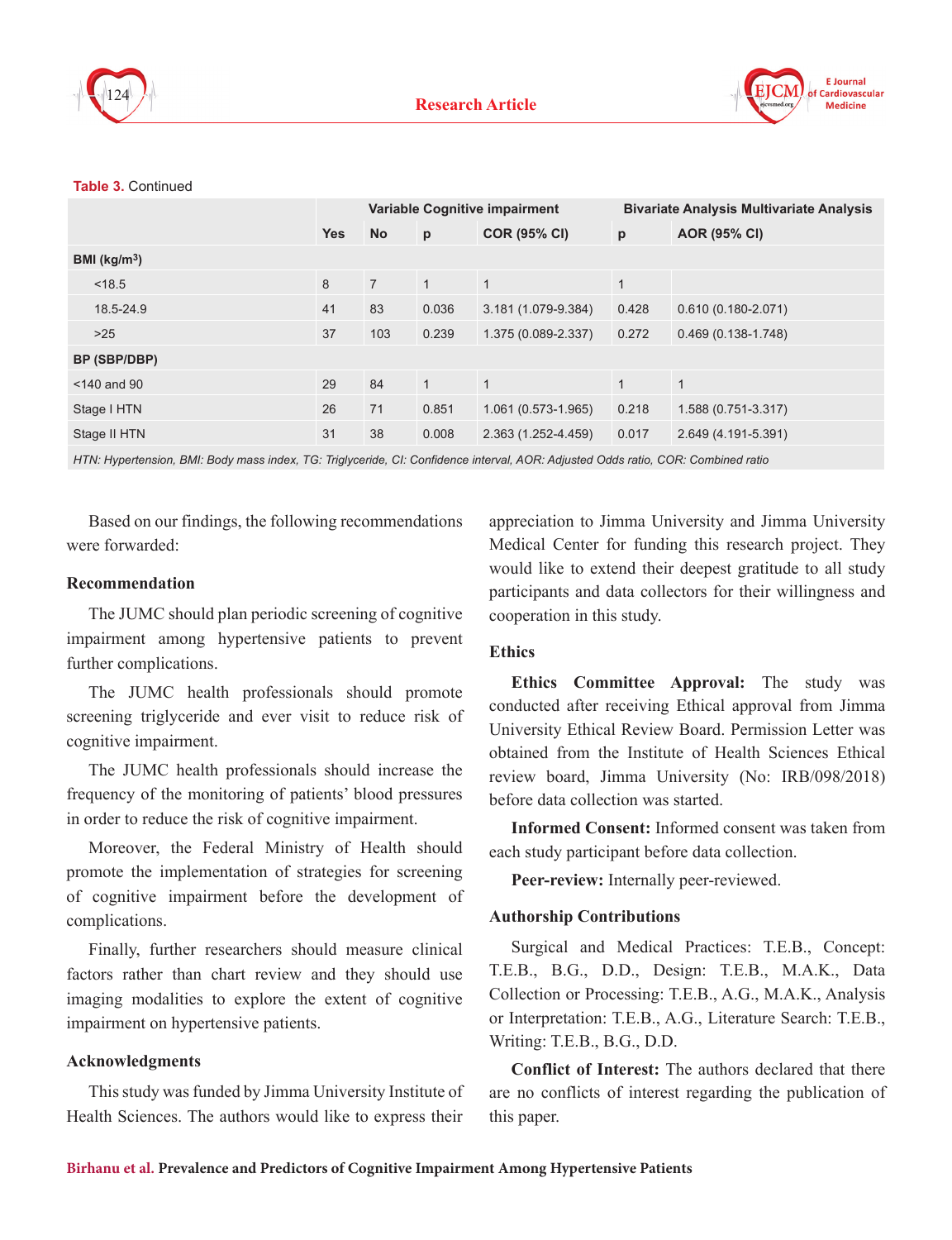



#### **Table 3.** Continued

|                          | <b>Variable Cognitive impairment</b> |                |              |                     | <b>Bivariate Analysis Multivariate Analysis</b> |                        |  |
|--------------------------|--------------------------------------|----------------|--------------|---------------------|-------------------------------------------------|------------------------|--|
|                          | <b>Yes</b>                           | <b>No</b>      | p            | <b>COR (95% CI)</b> | p                                               | <b>AOR (95% CI)</b>    |  |
| BMI (kg/m <sup>3</sup> ) |                                      |                |              |                     |                                                 |                        |  |
| < 18.5                   | 8                                    | $\overline{7}$ | $\mathbf{1}$ | $\mathbf{1}$        | $\mathbf{1}$                                    |                        |  |
| 18.5-24.9                | 41                                   | 83             | 0.036        | 3.181 (1.079-9.384) | 0.428                                           | $0.610(0.180 - 2.071)$ |  |
| >25                      | 37                                   | 103            | 0.239        | 1.375 (0.089-2.337) | 0.272                                           | $0.469(0.138-1.748)$   |  |
| BP (SBP/DBP)             |                                      |                |              |                     |                                                 |                        |  |
| $<$ 140 and 90           | 29                                   | 84             | $\mathbf{1}$ | $\mathbf{1}$        | $\mathbf{1}$                                    | $\mathbf{1}$           |  |
| Stage I HTN              | 26                                   | 71             | 0.851        | 1.061 (0.573-1.965) | 0.218                                           | 1.588 (0.751-3.317)    |  |
| Stage II HTN             | 31                                   | 38             | 0.008        | 2.363 (1.252-4.459) | 0.017                                           | 2.649 (4.191-5.391)    |  |
|                          |                                      |                |              |                     |                                                 |                        |  |

*HTN: Hypertension, BMI: Body mass index, TG: Triglyceride, CI: Confidence interval, AOR: Adjusted Odds ratio, COR: Combined ratio*

Based on our findings, the following recommendations were forwarded:

#### **Recommendation**

The JUMC should plan periodic screening of cognitive impairment among hypertensive patients to prevent further complications.

The JUMC health professionals should promote screening triglyceride and ever visit to reduce risk of cognitive impairment.

The JUMC health professionals should increase the frequency of the monitoring of patients' blood pressures in order to reduce the risk of cognitive impairment.

Moreover, the Federal Ministry of Health should promote the implementation of strategies for screening of cognitive impairment before the development of complications.

Finally, further researchers should measure clinical factors rather than chart review and they should use imaging modalities to explore the extent of cognitive impairment on hypertensive patients.

#### **Acknowledgments**

This study was funded by Jimma University Institute of Health Sciences. The authors would like to express their

appreciation to Jimma University and Jimma University Medical Center for funding this research project. They would like to extend their deepest gratitude to all study participants and data collectors for their willingness and cooperation in this study.

## **Ethics**

**Ethics Committee Approval:** The study was conducted after receiving Ethical approval from Jimma University Ethical Review Board. Permission Letter was obtained from the Institute of Health Sciences Ethical review board, Jimma University (No: IRB/098/2018) before data collection was started.

**Informed Consent:** Informed consent was taken from each study participant before data collection.

**Peer-review:** Internally peer-reviewed.

#### **Authorship Contributions**

Surgical and Medical Practices: T.E.B., Concept: T.E.B., B.G., D.D., Design: T.E.B., M.A.K., Data Collection or Processing: T.E.B., A.G., M.A.K., Analysis or Interpretation: T.E.B., A.G., Literature Search: T.E.B., Writing: T.E.B., B.G., D.D.

**Conflict of Interest:** The authors declared that there are no conflicts of interest regarding the publication of this paper.